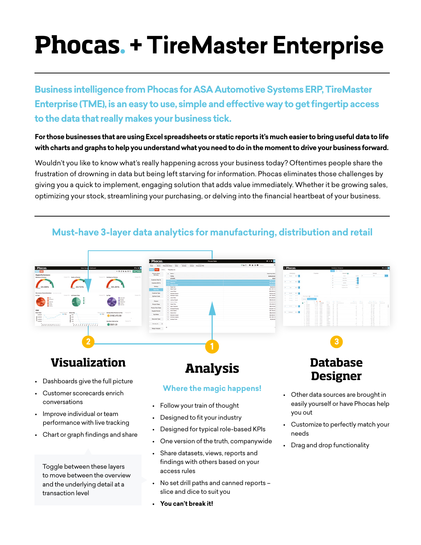# **Phocas**. **+ TireMaster Enterprise**

**Business intelligence from Phocas for ASA Automotive Systems ERP, TireMaster Enterprise (TME), is an easy to use, simple and effective way to get fingertip access to the data that really makes your business tick.** 

#### **For those businesses that are using Excel spreadsheets or static reports it's much easier to bring useful data to life with charts and graphs to help you understand what you need to do in the moment to drive your business forward.**

Wouldn't you like to know what's really happening across your business today? Oftentimes people share the frustration of drowning in data but being left starving for information. Phocas eliminates those challenges by giving you a quick to implement, engaging solution that adds value immediately. Whether it be growing sales, optimizing your stock, streamlining your purchasing, or delving into the financial heartbeat of your business.



• No set drill paths and canned reports –

slice and dice to suit you

**• You can't break it!**

to move between the overview and the underlying detail at a

transaction level

### **Must-have 3-layer data analytics for manufacturing, distribution and retail**